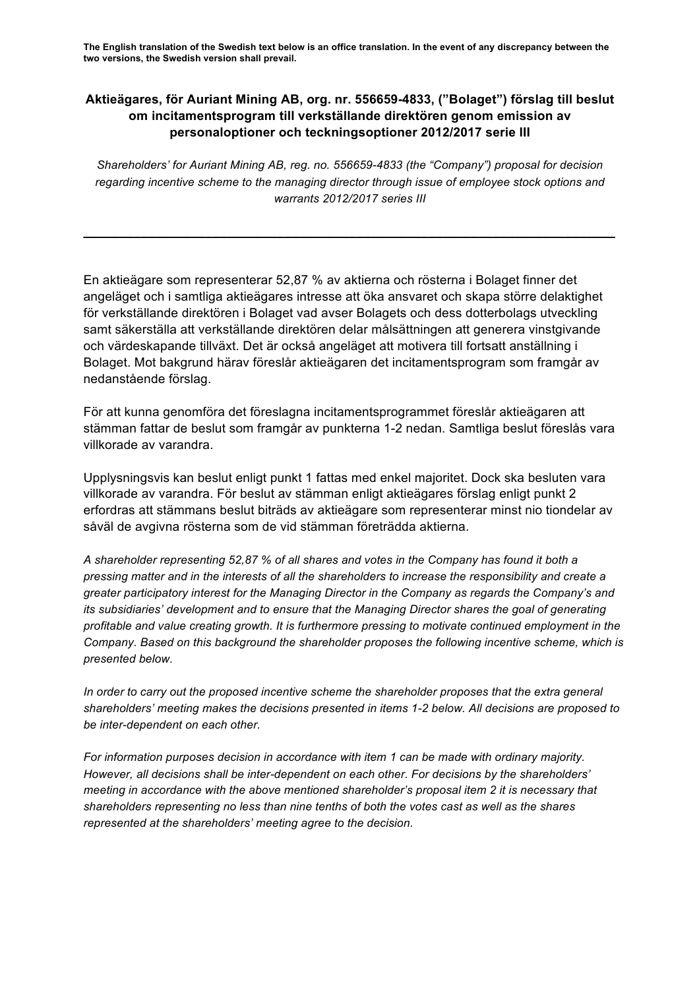**The English translation of the Swedish text below is an office translation. In the event of any discrepancy between the two versions, the Swedish version shall prevail.**

## **Aktieägares, för Auriant Mining AB, org. nr. 556659-4833, ("Bolaget") förslag till beslut om incitamentsprogram till verkställande direktören genom emission av personaloptioner och teckningsoptioner 2012/2017 serie III**

*Shareholders' for Auriant Mining AB, reg. no. 556659-4833 (the "Company") proposal for decision regarding incentive scheme to the managing director through issue of employee stock options and warrants 2012/2017 series III*

**\_\_\_\_\_\_\_\_\_\_\_\_\_\_\_\_\_\_\_\_\_\_\_\_\_\_\_\_\_\_\_\_\_\_\_\_\_\_\_\_\_\_\_\_\_\_\_\_\_\_\_\_\_\_\_\_\_\_\_\_\_\_\_\_\_\_\_\_\_\_\_\_\_\_**

En aktieägare som representerar 52,87 % av aktierna och rösterna i Bolaget finner det angeläget och i samtliga aktieägares intresse att öka ansvaret och skapa större delaktighet för verkställande direktören i Bolaget vad avser Bolagets och dess dotterbolags utveckling samt säkerställa att verkställande direktören delar målsättningen att generera vinstgivande och värdeskapande tillväxt. Det är också angeläget att motivera till fortsatt anställning i Bolaget. Mot bakgrund härav föreslår aktieägaren det incitamentsprogram som framgår av nedanstående förslag.

För att kunna genomföra det föreslagna incitamentsprogrammet föreslår aktieägaren att stämman fattar de beslut som framgår av punkterna 1-2 nedan. Samtliga beslut föreslås vara villkorade av varandra.

Upplysningsvis kan beslut enligt punkt 1 fattas med enkel majoritet. Dock ska besluten vara villkorade av varandra. För beslut av stämman enligt aktieägares förslag enligt punkt 2 erfordras att stämmans beslut biträds av aktieägare som representerar minst nio tiondelar av såväl de avgivna rösterna som de vid stämman företrädda aktierna.

*A shareholder representing 52,87 % of all shares and votes in the Company has found it both a pressing matter and in the interests of all the shareholders to increase the responsibility and create a greater participatory interest for the Managing Director in the Company as regards the Company's and its subsidiaries' development and to ensure that the Managing Director shares the goal of generating profitable and value creating growth. It is furthermore pressing to motivate continued employment in the Company. Based on this background the shareholder proposes the following incentive scheme, which is presented below.*

*In order to carry out the proposed incentive scheme the shareholder proposes that the extra general shareholders' meeting makes the decisions presented in items 1-2 below. All decisions are proposed to be inter-dependent on each other.*

*For information purposes decision in accordance with item 1 can be made with ordinary majority. However, all decisions shall be inter-dependent on each other. For decisions by the shareholders' meeting in accordance with the above mentioned shareholder's proposal item 2 it is necessary that shareholders representing no less than nine tenths of both the votes cast as well as the shares represented at the shareholders' meeting agree to the decision.*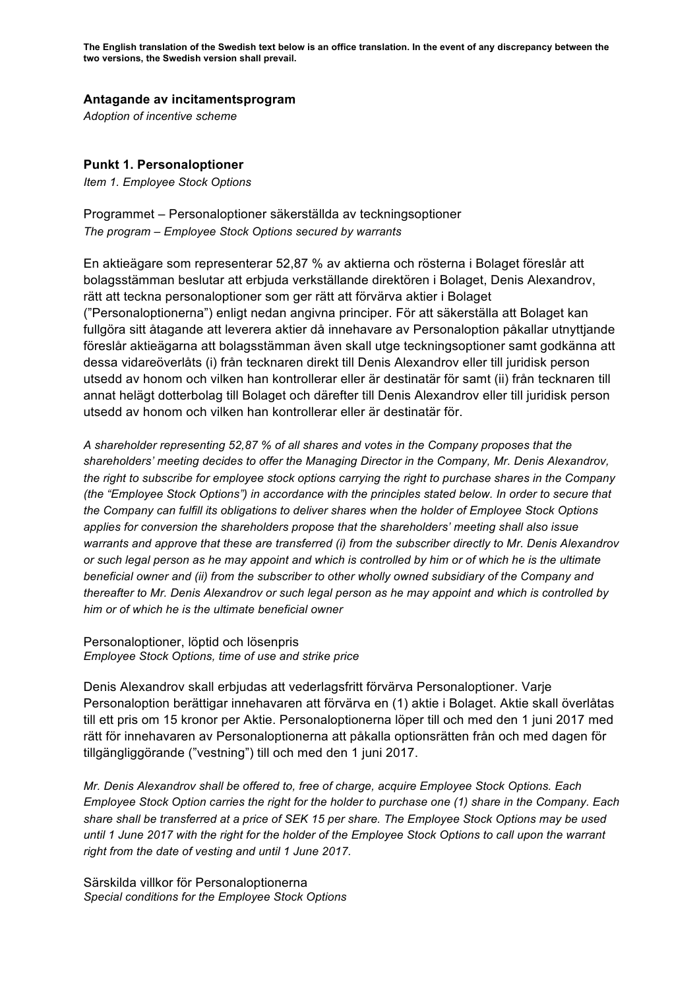**The English translation of the Swedish text below is an office translation. In the event of any discrepancy between the two versions, the Swedish version shall prevail.**

## **Antagande av incitamentsprogram**

*Adoption of incentive scheme*

## **Punkt 1. Personaloptioner**

*Item 1. Employee Stock Options*

Programmet – Personaloptioner säkerställda av teckningsoptioner *The program – Employee Stock Options secured by warrants*

En aktieägare som representerar 52,87 % av aktierna och rösterna i Bolaget föreslår att bolagsstämman beslutar att erbjuda verkställande direktören i Bolaget, Denis Alexandrov, rätt att teckna personaloptioner som ger rätt att förvärva aktier i Bolaget ("Personaloptionerna") enligt nedan angivna principer. För att säkerställa att Bolaget kan fullgöra sitt åtagande att leverera aktier då innehavare av Personaloption påkallar utnyttjande föreslår aktieägarna att bolagsstämman även skall utge teckningsoptioner samt godkänna att dessa vidareöverlåts (i) från tecknaren direkt till Denis Alexandrov eller till juridisk person utsedd av honom och vilken han kontrollerar eller är destinatär för samt (ii) från tecknaren till annat helägt dotterbolag till Bolaget och därefter till Denis Alexandrov eller till juridisk person utsedd av honom och vilken han kontrollerar eller är destinatär för.

*A shareholder representing 52,87 % of all shares and votes in the Company proposes that the shareholders' meeting decides to offer the Managing Director in the Company, Mr. Denis Alexandrov, the right to subscribe for employee stock options carrying the right to purchase shares in the Company (the "Employee Stock Options") in accordance with the principles stated below. In order to secure that the Company can fulfill its obligations to deliver shares when the holder of Employee Stock Options applies for conversion the shareholders propose that the shareholders' meeting shall also issue warrants and approve that these are transferred (i) from the subscriber directly to Mr. Denis Alexandrov or such legal person as he may appoint and which is controlled by him or of which he is the ultimate beneficial owner and (ii) from the subscriber to other wholly owned subsidiary of the Company and thereafter to Mr. Denis Alexandrov or such legal person as he may appoint and which is controlled by him or of which he is the ultimate beneficial owner*

Personaloptioner, löptid och lösenpris *Employee Stock Options, time of use and strike price*

Denis Alexandrov skall erbjudas att vederlagsfritt förvärva Personaloptioner. Varje Personaloption berättigar innehavaren att förvärva en (1) aktie i Bolaget. Aktie skall överlåtas till ett pris om 15 kronor per Aktie. Personaloptionerna löper till och med den 1 juni 2017 med rätt för innehavaren av Personaloptionerna att påkalla optionsrätten från och med dagen för tillgängliggörande ("vestning") till och med den 1 juni 2017.

*Mr. Denis Alexandrov shall be offered to, free of charge, acquire Employee Stock Options. Each Employee Stock Option carries the right for the holder to purchase one (1) share in the Company. Each share shall be transferred at a price of SEK 15 per share. The Employee Stock Options may be used until 1 June 2017 with the right for the holder of the Employee Stock Options to call upon the warrant right from the date of vesting and until 1 June 2017.*

Särskilda villkor för Personaloptionerna *Special conditions for the Employee Stock Options*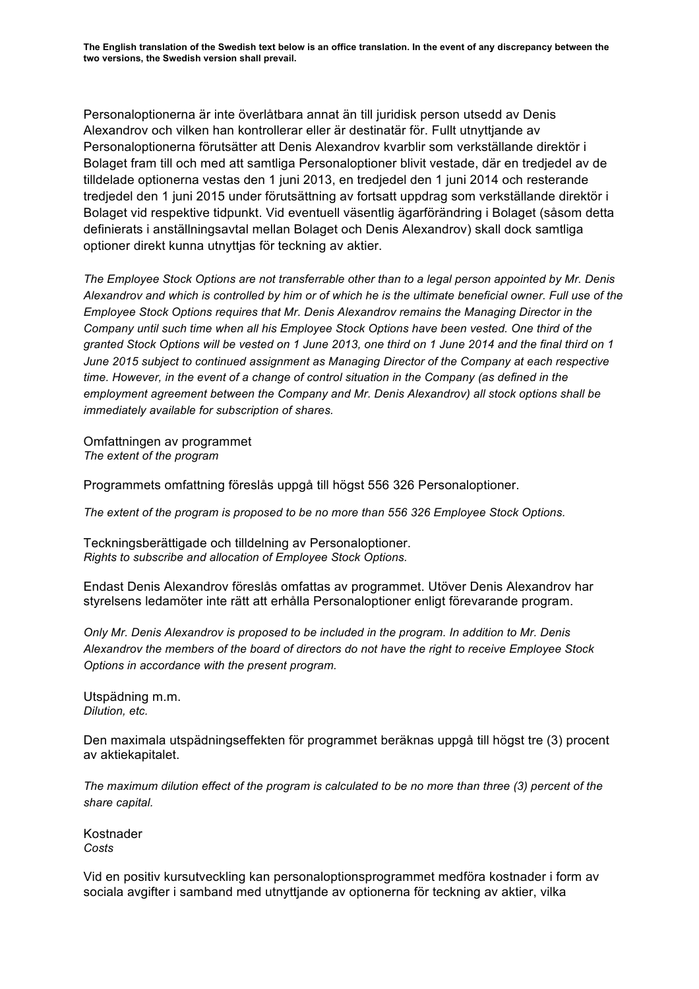Personaloptionerna är inte överlåtbara annat än till juridisk person utsedd av Denis Alexandrov och vilken han kontrollerar eller är destinatär för. Fullt utnyttjande av Personaloptionerna förutsätter att Denis Alexandrov kvarblir som verkställande direktör i Bolaget fram till och med att samtliga Personaloptioner blivit vestade, där en tredjedel av de tilldelade optionerna vestas den 1 juni 2013, en tredjedel den 1 juni 2014 och resterande tredjedel den 1 juni 2015 under förutsättning av fortsatt uppdrag som verkställande direktör i Bolaget vid respektive tidpunkt. Vid eventuell väsentlig ägarförändring i Bolaget (såsom detta definierats i anställningsavtal mellan Bolaget och Denis Alexandrov) skall dock samtliga optioner direkt kunna utnyttjas för teckning av aktier.

*The Employee Stock Options are not transferrable other than to a legal person appointed by Mr. Denis Alexandrov and which is controlled by him or of which he is the ultimate beneficial owner. Full use of the Employee Stock Options requires that Mr. Denis Alexandrov remains the Managing Director in the Company until such time when all his Employee Stock Options have been vested. One third of the granted Stock Options will be vested on 1 June 2013, one third on 1 June 2014 and the final third on 1 June 2015 subject to continued assignment as Managing Director of the Company at each respective time. However, in the event of a change of control situation in the Company (as defined in the employment agreement between the Company and Mr. Denis Alexandrov) all stock options shall be immediately available for subscription of shares.* 

Omfattningen av programmet *The extent of the program*

Programmets omfattning föreslås uppgå till högst 556 326 Personaloptioner.

*The extent of the program is proposed to be no more than 556 326 Employee Stock Options.*

Teckningsberättigade och tilldelning av Personaloptioner. *Rights to subscribe and allocation of Employee Stock Options.*

Endast Denis Alexandrov föreslås omfattas av programmet. Utöver Denis Alexandrov har styrelsens ledamöter inte rätt att erhålla Personaloptioner enligt förevarande program.

*Only Mr. Denis Alexandrov is proposed to be included in the program. In addition to Mr. Denis Alexandrov the members of the board of directors do not have the right to receive Employee Stock Options in accordance with the present program.*

Utspädning m.m. *Dilution, etc.*

Den maximala utspädningseffekten för programmet beräknas uppgå till högst tre (3) procent av aktiekapitalet.

*The maximum dilution effect of the program is calculated to be no more than three (3) percent of the share capital.*

Kostnader *Costs*

Vid en positiv kursutveckling kan personaloptionsprogrammet medföra kostnader i form av sociala avgifter i samband med utnyttjande av optionerna för teckning av aktier, vilka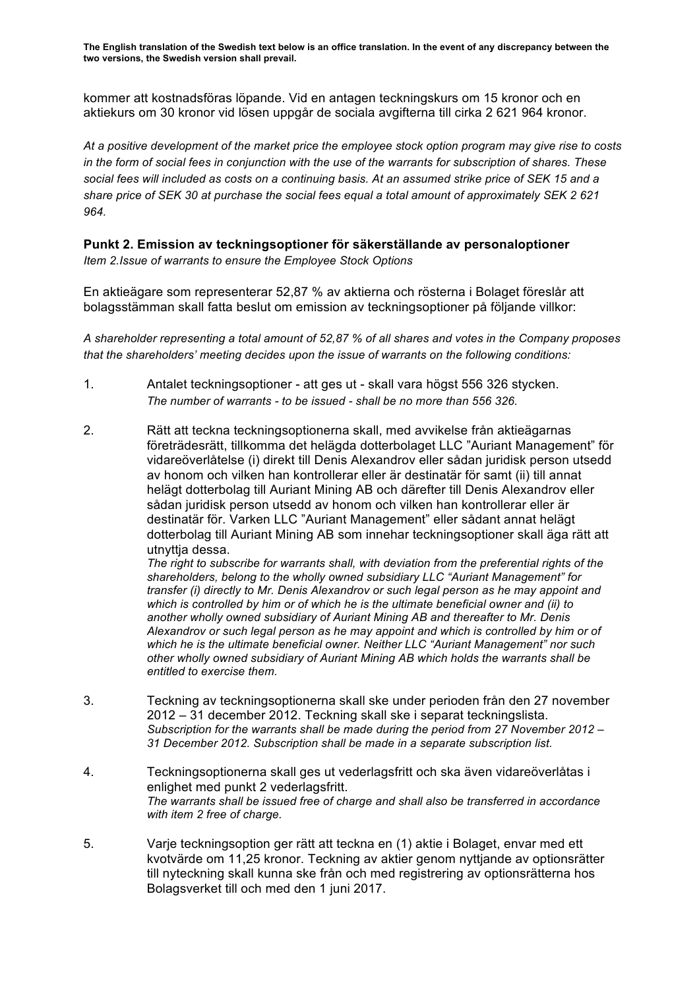**The English translation of the Swedish text below is an office translation. In the event of any discrepancy between the two versions, the Swedish version shall prevail.**

kommer att kostnadsföras löpande. Vid en antagen teckningskurs om 15 kronor och en aktiekurs om 30 kronor vid lösen uppgår de sociala avgifterna till cirka 2 621 964 kronor.

*At a positive development of the market price the employee stock option program may give rise to costs in the form of social fees in conjunction with the use of the warrants for subscription of shares. These social fees will included as costs on a continuing basis. At an assumed strike price of SEK 15 and a share price of SEK 30 at purchase the social fees equal a total amount of approximately SEK 2 621 964.*

## **Punkt 2. Emission av teckningsoptioner för säkerställande av personaloptioner**

*Item 2.Issue of warrants to ensure the Employee Stock Options*

En aktieägare som representerar 52,87 % av aktierna och rösterna i Bolaget föreslår att bolagsstämman skall fatta beslut om emission av teckningsoptioner på följande villkor:

*A shareholder representing a total amount of 52,87 % of all shares and votes in the Company proposes that the shareholders' meeting decides upon the issue of warrants on the following conditions:*

- 1. Antalet teckningsoptioner att ges ut skall vara högst 556 326 stycken. *The number of warrants - to be issued - shall be no more than 556 326.*
- 2. Rätt att teckna teckningsoptionerna skall, med avvikelse från aktieägarnas företrädesrätt, tillkomma det helägda dotterbolaget LLC "Auriant Management" för vidareöverlåtelse (i) direkt till Denis Alexandrov eller sådan juridisk person utsedd av honom och vilken han kontrollerar eller är destinatär för samt (ii) till annat helägt dotterbolag till Auriant Mining AB och därefter till Denis Alexandrov eller sådan juridisk person utsedd av honom och vilken han kontrollerar eller är destinatär för. Varken LLC "Auriant Management" eller sådant annat helägt dotterbolag till Auriant Mining AB som innehar teckningsoptioner skall äga rätt att utnyttja dessa.

*The right to subscribe for warrants shall, with deviation from the preferential rights of the shareholders, belong to the wholly owned subsidiary LLC "Auriant Management" for transfer (i) directly to Mr. Denis Alexandrov or such legal person as he may appoint and which is controlled by him or of which he is the ultimate beneficial owner and (ii) to another wholly owned subsidiary of Auriant Mining AB and thereafter to Mr. Denis Alexandrov or such legal person as he may appoint and which is controlled by him or of which he is the ultimate beneficial owner. Neither LLC "Auriant Management" nor such other wholly owned subsidiary of Auriant Mining AB which holds the warrants shall be entitled to exercise them.*

- 3. Teckning av teckningsoptionerna skall ske under perioden från den 27 november 2012 – 31 december 2012. Teckning skall ske i separat teckningslista. *Subscription for the warrants shall be made during the period from 27 November 2012 – 31 December 2012. Subscription shall be made in a separate subscription list.*
- 4. Teckningsoptionerna skall ges ut vederlagsfritt och ska även vidareöverlåtas i enlighet med punkt 2 vederlagsfritt. *The warrants shall be issued free of charge and shall also be transferred in accordance with item 2 free of charge.*
- 5. Varje teckningsoption ger rätt att teckna en (1) aktie i Bolaget, envar med ett kvotvärde om 11,25 kronor. Teckning av aktier genom nyttjande av optionsrätter till nyteckning skall kunna ske från och med registrering av optionsrätterna hos Bolagsverket till och med den 1 juni 2017.